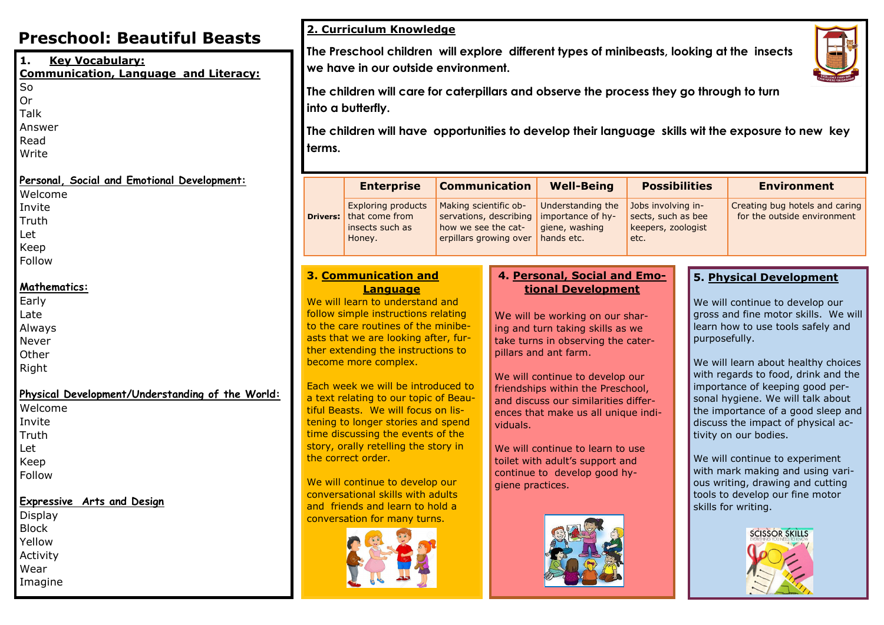# **Preschool: Beautiful Beasts**

| 1.<br><b>Key Vocabulary:</b><br><b>Communication, Language and Literacy:</b><br>So<br>Or<br>Talk        | The Preschool children w<br>we have in our outside e<br>The children will care for<br>into a butterfly. |                                                                                                                                                                                                                                                                 |                             |  |
|---------------------------------------------------------------------------------------------------------|---------------------------------------------------------------------------------------------------------|-----------------------------------------------------------------------------------------------------------------------------------------------------------------------------------------------------------------------------------------------------------------|-----------------------------|--|
| Answer<br>Read<br>Write                                                                                 | terms.                                                                                                  | The children will have op                                                                                                                                                                                                                                       |                             |  |
| Personal, Social and Emotional Development:<br>Welcome                                                  |                                                                                                         | <b>Enterprise</b>                                                                                                                                                                                                                                               | $\mathbf C$                 |  |
| Invite<br>Truth<br>Let<br>Keep<br>Follow                                                                | <b>Drivers:</b>                                                                                         | <b>Exploring products</b><br>that come from<br>insects such as<br>Honey.                                                                                                                                                                                        | $\mathsf{N}$<br>S<br>h<br>e |  |
| Mathematics:<br>Early<br>Late<br>Always<br>Never<br>Other<br>Right                                      |                                                                                                         | 3. Communication and<br>Language<br>We will learn to understand a<br>follow simple instructions rela<br>to the care routines of the m<br>asts that we are looking after<br>ther extending the instruction<br>become more complex.                               |                             |  |
| Physical Development/Understanding of the World:<br>Welcome<br>Invite<br>Truth<br>Let<br>Keep<br>Follow |                                                                                                         | Each week we will be introdu<br>a text relating to our topic of<br>tiful Beasts. We will focus or<br>tening to longer stories and s<br>time discussing the events of<br>story, orally retelling the stor<br>the correct order.<br>We will continue to develop o |                             |  |
| <b>Expressive Arts and Design</b><br>Display<br><b>Block</b><br>Yellow<br>Activity<br>Wear<br>Imagine   |                                                                                                         | conversational skills with adu<br>and friends and learn to hold<br>conversation for many turns.                                                                                                                                                                 |                             |  |

# **2. Curriculum Knowledge**

**The Preschool children will explore different types of minibeasts, looking at the insects**  environment.



**The children will care for caterpillars and observe the process they go through to turn** 

**The children will have opportunities to develop their language skills wit the exposure to new key** 

| <b>Enterprise</b>                                                                        | <b>Communication</b>                                                                             | <b>Well-Being</b>                                                      | <b>Possibilities</b>                                                   | <b>Environment</b>                                            |
|------------------------------------------------------------------------------------------|--------------------------------------------------------------------------------------------------|------------------------------------------------------------------------|------------------------------------------------------------------------|---------------------------------------------------------------|
| <b>Exploring products</b><br><b>Drivers:</b> that come from<br>insects such as<br>Honey. | Making scientific ob-<br>servations, describing<br>how we see the cat-<br>erpillars growing over | Understanding the<br>importance of hy-<br>giene, washing<br>hands etc. | Jobs involving in-<br>sects, such as bee<br>keepers, zoologist<br>etc. | Creating bug hotels and caring<br>for the outside environment |

and elating ninibeer, furons to

luced to of Beaun lisspend of the ory in

We will continue to develop our lults ld a



# **4. Personal, Social and Emotional Development**

We will be working on our sharing and turn taking skills as we take turns in observing the caterpillars and ant farm.

We will continue to develop our friendships within the Preschool, and discuss our similarities differences that make us all unique individuals.

We will continue to learn to use toilet with adult's support and continue to develop good hygiene practices.



### **5. Physical Development**

We will continue to develop our gross and fine motor skills. We will learn how to use tools safely and purposefully.

We will learn about healthy choices with regards to food, drink and the importance of keeping good personal hygiene. We will talk about the importance of a good sleep and discuss the impact of physical activity on our bodies.

We will continue to experiment with mark making and using various writing, drawing and cutting tools to develop our fine motor skills for writing.